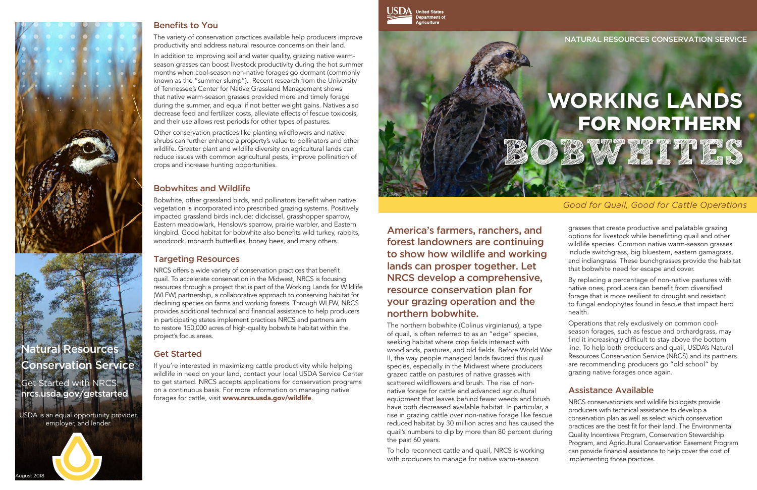

**United States Department of**<br>Department of

NATURAL RESOURCES CONSERVATION SERVICE

# **WORKING LANDS** BOBWHALL A FOR NORTHERN

America's farmers, ranchers, and forest landowners are continuing to show how wildlife and working lands can prosper together. Let NRCS develop a comprehensive, resource conservation plan for your grazing operation and the northern bobwhite.

The northern bobwhite (Colinus virginianus), a type of quail, is often referred to as an "edge" species, seeking habitat where crop fields intersect with woodlands, pastures, and old fields. Before World War II, the way people managed lands favored this quail species, especially in the Midwest where producers grazed cattle on pastures of native grasses with scattered wildflowers and brush. The rise of nonnative forage for cattle and advanced agricultural equipment that leaves behind fewer weeds and brush have both decreased available habitat. In particular, a rise in grazing cattle over non-native forage like fescue reduced habitat by 30 million acres and has caused the quail's numbers to dip by more than 80 percent during the past 60 years.

To help reconnect cattle and quail, NRCS is working with producers to manage for native warm-season

#### *Good for Quail, Good for Cattle Operations*

grasses that create productive and palatable grazing options for livestock while benefitting quail and other wildlife species. Common native warm-season grasses include switchgrass, big bluestem, eastern gamagrass, and indiangrass. These bunchgrasses provide the habitat that bobwhite need for escape and cover.

By replacing a percentage of non-native pastures with native ones, producers can benefit from diversified forage that is more resilient to drought and resistant to fungal endophytes found in fescue that impact herd health.

Operations that rely exclusively on common coolseason forages, such as fescue and orchardgrass, may find it increasingly difficult to stay above the bottom line. To help both producers and quail, USDA's Natural Resources Conservation Service (NRCS) and its partners are recommending producers go "old school" by grazing native forages once again.

### Assistance Available

NRCS conservationists and wildlife biologists provide producers with technical assistance to develop a conservation plan as well as select which conservation practices are the best fit for their land. The Environmental Quality Incentives Program, Conservation Stewardship Program, and Agricultural Conservation Easement Program can provide financial assistance to help cover the cost of implementing those practices.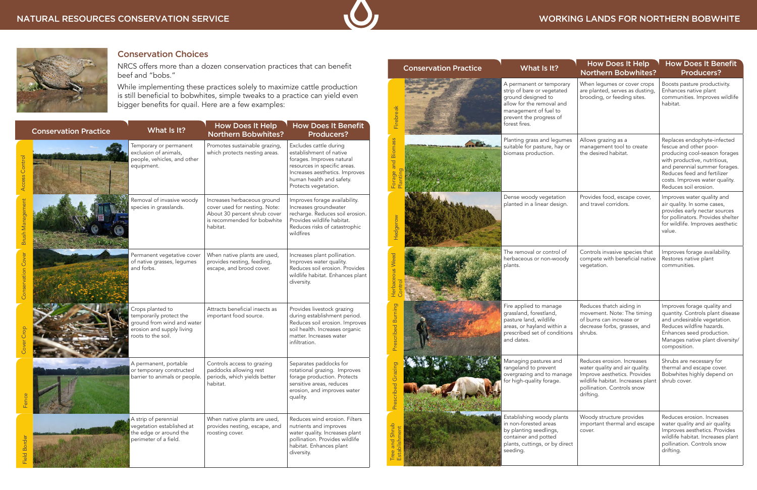



## Conservation Choices

NRCS offers more than a dozen conservation practices that can benefit beef and "bobs."

While implementing these practices solely to maximize cattle production is still beneficial to bobwhites, simple tweaks to a practice can yield even bigger benefits for quail. Here are a few examples:

|                           | <b>Conservation Practice</b> | What Is It?                                                                                                                  | <b>How Does It Help</b><br><b>Northern Bobwhites?</b>                                                                                   | <b>How Does It Benefit</b><br><b>Producers?</b>                                                                                                                                                      |
|---------------------------|------------------------------|------------------------------------------------------------------------------------------------------------------------------|-----------------------------------------------------------------------------------------------------------------------------------------|------------------------------------------------------------------------------------------------------------------------------------------------------------------------------------------------------|
| Access Control            |                              | Temporary or permanent<br>exclusion of animals,<br>people, vehicles, and other<br>equipment.                                 | Promotes sustainable grazing,<br>which protects nesting areas.                                                                          | Excludes cattle during<br>establishment of native<br>forages. Improves natural<br>resources in specific areas.<br>Increases aesthetics. Improves<br>human health and safety.<br>Protects vegetation. |
| <b>Brush Management</b>   |                              | Removal of invasive woody<br>species in grasslands.                                                                          | Increases herbaceous ground<br>cover used for nesting. Note:<br>About 30 percent shrub cover<br>is recommended for bobwhite<br>habitat. | Improves forage availability.<br>Increases groundwater<br>recharge. Reduces soil erosion.<br>Provides wildlife habitat.<br>Reduces risks of catastrophic<br>wildfires                                |
| <b>Conservation Cover</b> |                              | Permanent vegetative cover<br>of native grasses, legumes<br>and forbs.                                                       | When native plants are used,<br>provides nesting, feeding,<br>escape, and brood cover.                                                  | Increases plant pollination.<br>Improves water quality.<br>Reduces soil erosion. Provides<br>wildlife habitat. Enhances plant<br>diversity.                                                          |
| Cover Crop                |                              | Crops planted to<br>temporarily protect the<br>ground from wind and water<br>erosion and supply living<br>roots to the soil. | Attracts beneficial insects as<br>important food source.                                                                                | Provides livestock grazing<br>during establishment period.<br>Reduces soil erosion. Improves<br>soil health. Increases organic<br>matter. Increases water<br>infiltration.                           |
| Fenc                      |                              | A permanent, portable<br>or temporary constructed<br>barrier to animals or people.                                           | Controls access to grazing<br>paddocks allowing rest<br>periods, which yields better<br>habitat.                                        | Separates paddocks for<br>rotational grazing. Improves<br>forage production. Protects<br>sensitive areas, reduces<br>erosion, and improves water<br>quality.                                         |
| <b>Field Border</b>       |                              | A strip of perennial<br>vegetation established at<br>the edge or around the<br>perimeter of a field.                         | When native plants are used,<br>provides nesting, escape, and<br>roosting cover.                                                        | Reduces wind erosion. Filters<br>nutrients and improves<br>water quality. Increases plant<br>pollination. Provides wildlife<br>habitat. Enhances plant<br>diversity.                                 |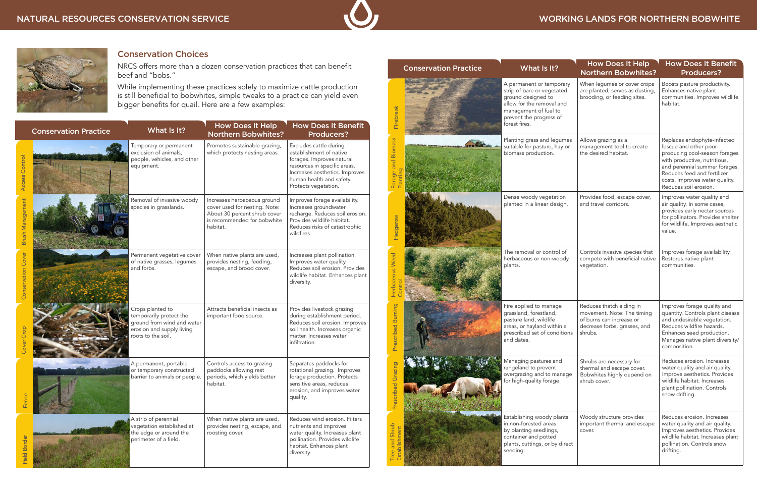# WORKING LANDS FOR NORTHERN BOBWHITE

| <b>Conservation Practice</b> | What Is It?                                                                                                                                                                    | <b>How Does It Help</b><br><b>Northern Bobwhites?</b>                                                                         | <b>How Does It Benefit</b><br><b>Producers?</b>                                                                                                                                                                                                   |
|------------------------------|--------------------------------------------------------------------------------------------------------------------------------------------------------------------------------|-------------------------------------------------------------------------------------------------------------------------------|---------------------------------------------------------------------------------------------------------------------------------------------------------------------------------------------------------------------------------------------------|
| Firebreak                    | A permanent or temporary<br>strip of bare or vegetated<br>ground designed to<br>allow for the removal and<br>management of fuel to<br>prevent the progress of<br>forest fires. | When legumes or cover crops<br>are planted, serves as dusting,<br>brooding, or feeding sites.                                 | Boosts pasture productivity.<br>Enhances native plant<br>communities. Improves wildlife<br>habitat.                                                                                                                                               |
| Forage and Biomass           | Planting grass and legumes<br>suitable for pasture, hay or<br>biomass production.                                                                                              | Allows grazing as a<br>management tool to create<br>the desired habitat.                                                      | Replaces endophyte-infected<br>fescue and other poor-<br>producing cool-season forages<br>with productive, nutritious,<br>and perennial summer forages.<br>Reduces feed and fertilizer<br>costs. Improves water quality.<br>Reduces soil erosion. |
| Hedgerow                     | Dense woody vegetation<br>planted in a linear design.                                                                                                                          | Provides food, escape cover,<br>and travel corridors.                                                                         | Improves water quality and<br>air quality. In some cases,<br>provides early nectar sources<br>for pollinators. Provides shelter<br>for wildlife. Improves aesthetic<br>value.                                                                     |
| Herbaceous Weed              | The removal or control of<br>herbaceous or non-woody<br>plants.                                                                                                                | Controls invasive species that<br>compete with beneficial native<br>vegetation.                                               | Improves forage availability.<br>Restores native plant<br>communities.                                                                                                                                                                            |
| <b>bed Burning</b><br>Presc  | Fire applied to manage<br>grassland, forestland,<br>pasture land, wildlife<br>areas, or hayland within a<br>prescribed set of conditions<br>and dates.                         | Reduces thatch aiding in<br>movement. Note: The timing<br>of burns can increase or<br>decrease forbs, grasses, and<br>shrubs. | Improves forage quality and<br>quantity. Controls plant disease<br>and undesirable vegetation.<br>Reduces wildfire hazards.<br>Enhances seed production.<br>Manages native plant diversity/<br>composition.                                       |
| Prescribed Grazing           | Managing pastures and<br>rangeland to prevent<br>overgrazing and to manage<br>for high-quality forage.                                                                         | Shrubs are necessary for<br>thermal and escape cover.<br>Bobwhites highly depend on<br>shrub cover.                           | Reduces erosion. Increases<br>water quality and air quality.<br>Improve aesthetics. Provides<br>wildlife habitat. Increases<br>plant pollination. Controls<br>snow drifting.                                                                      |
| Tree and Shrub               | Establishing woody plants<br>in non-forested areas<br>by planting seedlings,<br>container and potted<br>plants, cuttings, or by direct<br>seeding.                             | Woody structure provides<br>important thermal and escape<br>cover.                                                            | Reduces erosion. Increases<br>water quality and air quality.<br>Improves aesthetics. Provides<br>wildlife habitat. Increases plant<br>pollination. Controls snow<br>drifting.                                                                     |